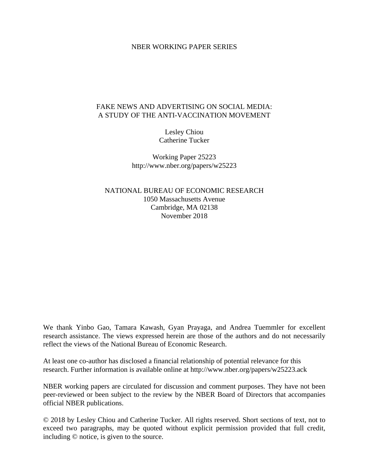## NBER WORKING PAPER SERIES

## FAKE NEWS AND ADVERTISING ON SOCIAL MEDIA: A STUDY OF THE ANTI-VACCINATION MOVEMENT

Lesley Chiou Catherine Tucker

Working Paper 25223 http://www.nber.org/papers/w25223

NATIONAL BUREAU OF ECONOMIC RESEARCH 1050 Massachusetts Avenue Cambridge, MA 02138 November 2018

We thank Yinbo Gao, Tamara Kawash, Gyan Prayaga, and Andrea Tuemmler for excellent research assistance. The views expressed herein are those of the authors and do not necessarily reflect the views of the National Bureau of Economic Research.

At least one co-author has disclosed a financial relationship of potential relevance for this research. Further information is available online at http://www.nber.org/papers/w25223.ack

NBER working papers are circulated for discussion and comment purposes. They have not been peer-reviewed or been subject to the review by the NBER Board of Directors that accompanies official NBER publications.

© 2018 by Lesley Chiou and Catherine Tucker. All rights reserved. Short sections of text, not to exceed two paragraphs, may be quoted without explicit permission provided that full credit, including © notice, is given to the source.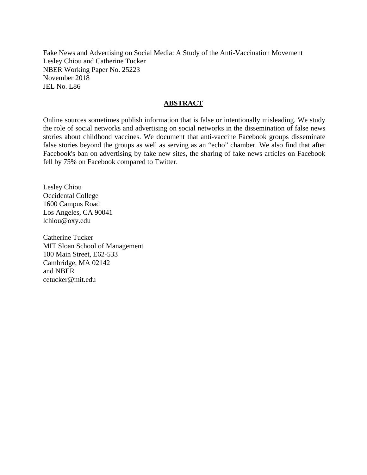Fake News and Advertising on Social Media: A Study of the Anti-Vaccination Movement Lesley Chiou and Catherine Tucker NBER Working Paper No. 25223 November 2018 JEL No. L86

## **ABSTRACT**

Online sources sometimes publish information that is false or intentionally misleading. We study the role of social networks and advertising on social networks in the dissemination of false news stories about childhood vaccines. We document that anti-vaccine Facebook groups disseminate false stories beyond the groups as well as serving as an "echo" chamber. We also find that after Facebook's ban on advertising by fake new sites, the sharing of fake news articles on Facebook fell by 75% on Facebook compared to Twitter.

Lesley Chiou Occidental College 1600 Campus Road Los Angeles, CA 90041 lchiou@oxy.edu

Catherine Tucker MIT Sloan School of Management 100 Main Street, E62-533 Cambridge, MA 02142 and NBER cetucker@mit.edu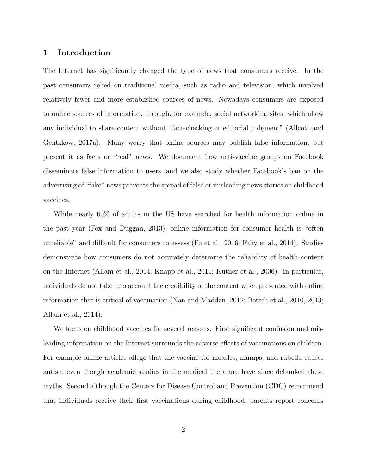## 1 Introduction

The Internet has significantly changed the type of news that consumers receive. In the past consumers relied on traditional media, such as radio and television, which involved relatively fewer and more established sources of news. Nowadays consumers are exposed to online sources of information, through, for example, social networking sites, which allow any individual to share content without "fact-checking or editorial judgment" (Allcott and Gentzkow, 2017a). Many worry that online sources may publish false information, but present it as facts or "real" news. We document how anti-vaccine groups on Facebook disseminate false information to users, and we also study whether Facebook's ban on the advertising of "fake" news prevents the spread of false or misleading news stories on childhood vaccines.

While nearly 60% of adults in the US have searched for health information online in the past year (Fox and Duggan, 2013), online information for consumer health is "often unreliable" and difficult for consumers to assess (Fu et al., 2016; Fahy et al., 2014). Studies demonstrate how consumers do not accurately determine the reliability of health content on the Internet (Allam et al., 2014; Knapp et al., 2011; Kutner et al., 2006). In particular, individuals do not take into account the credibility of the content when presented with online information that is critical of vaccination (Nan and Madden, 2012; Betsch et al., 2010, 2013; Allam et al., 2014).

We focus on childhood vaccines for several reasons. First significant confusion and misleading information on the Internet surrounds the adverse effects of vaccinations on children. For example online articles allege that the vaccine for measles, mumps, and rubella causes autism even though academic studies in the medical literature have since debunked these myths. Second although the Centers for Disease Control and Prevention (CDC) recommend that individuals receive their first vaccinations during childhood, parents report concerns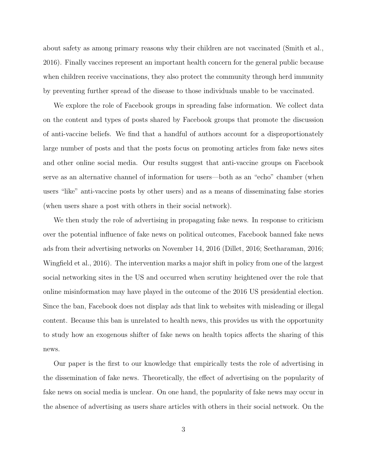about safety as among primary reasons why their children are not vaccinated (Smith et al., 2016). Finally vaccines represent an important health concern for the general public because when children receive vaccinations, they also protect the community through herd immunity by preventing further spread of the disease to those individuals unable to be vaccinated.

We explore the role of Facebook groups in spreading false information. We collect data on the content and types of posts shared by Facebook groups that promote the discussion of anti-vaccine beliefs. We find that a handful of authors account for a disproportionately large number of posts and that the posts focus on promoting articles from fake news sites and other online social media. Our results suggest that anti-vaccine groups on Facebook serve as an alternative channel of information for users—both as an "echo" chamber (when users "like" anti-vaccine posts by other users) and as a means of disseminating false stories (when users share a post with others in their social network).

We then study the role of advertising in propagating fake news. In response to criticism over the potential influence of fake news on political outcomes, Facebook banned fake news ads from their advertising networks on November 14, 2016 (Dillet, 2016; Seetharaman, 2016; Wingfield et al., 2016). The intervention marks a major shift in policy from one of the largest social networking sites in the US and occurred when scrutiny heightened over the role that online misinformation may have played in the outcome of the 2016 US presidential election. Since the ban, Facebook does not display ads that link to websites with misleading or illegal content. Because this ban is unrelated to health news, this provides us with the opportunity to study how an exogenous shifter of fake news on health topics affects the sharing of this news.

Our paper is the first to our knowledge that empirically tests the role of advertising in the dissemination of fake news. Theoretically, the effect of advertising on the popularity of fake news on social media is unclear. On one hand, the popularity of fake news may occur in the absence of advertising as users share articles with others in their social network. On the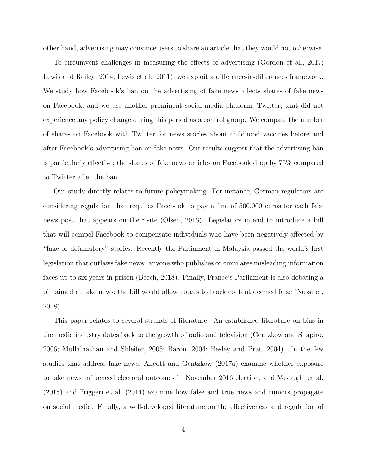other hand, advertising may convince users to share an article that they would not otherwise.

To circumvent challenges in measuring the effects of advertising (Gordon et al., 2017; Lewis and Reiley, 2014; Lewis et al., 2011), we exploit a difference-in-differences framework. We study how Facebook's ban on the advertising of fake news affects shares of fake news on Facebook, and we use another prominent social media platform, Twitter, that did not experience any policy change during this period as a control group. We compare the number of shares on Facebook with Twitter for news stories about childhood vaccines before and after Facebook's advertising ban on fake news. Our results suggest that the advertising ban is particularly effective; the shares of fake news articles on Facebook drop by 75% compared to Twitter after the ban.

Our study directly relates to future policymaking. For instance, German regulators are considering regulation that requires Facebook to pay a fine of 500,000 euros for each fake news post that appears on their site (Olsen, 2016). Legislators intend to introduce a bill that will compel Facebook to compensate individuals who have been negatively affected by "fake or defamatory" stories. Recently the Parliament in Malaysia passed the world's first legislation that outlaws fake news: anyone who publishes or circulates misleading information faces up to six years in prison (Beech, 2018). Finally, France's Parliament is also debating a bill aimed at fake news; the bill would allow judges to block content deemed false (Nossiter, 2018).

This paper relates to several strands of literature. An established literature on bias in the media industry dates back to the growth of radio and television (Gentzkow and Shapiro, 2006; Mullainathan and Shleifer, 2005; Baron, 2004; Besley and Prat, 2004). In the few studies that address fake news, Allcott and Gentzkow (2017a) examine whether exposure to fake news influenced electoral outcomes in November 2016 election, and Vosoughi et al. (2018) and Friggeri et al. (2014) examine how false and true news and rumors propagate on social media. Finally, a well-developed literature on the effectiveness and regulation of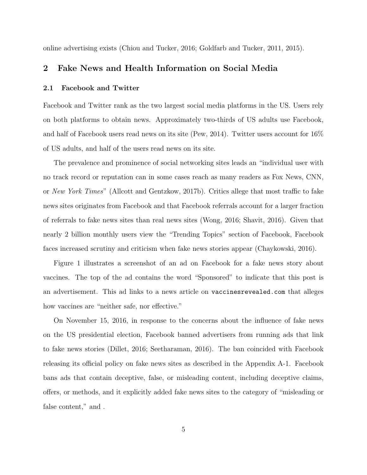online advertising exists (Chiou and Tucker, 2016; Goldfarb and Tucker, 2011, 2015).

## 2 Fake News and Health Information on Social Media

#### 2.1 Facebook and Twitter

Facebook and Twitter rank as the two largest social media platforms in the US. Users rely on both platforms to obtain news. Approximately two-thirds of US adults use Facebook, and half of Facebook users read news on its site (Pew, 2014). Twitter users account for 16% of US adults, and half of the users read news on its site.

The prevalence and prominence of social networking sites leads an "individual user with no track record or reputation can in some cases reach as many readers as Fox News, CNN, or New York Times" (Allcott and Gentzkow, 2017b). Critics allege that most traffic to fake news sites originates from Facebook and that Facebook referrals account for a larger fraction of referrals to fake news sites than real news sites (Wong, 2016; Shavit, 2016). Given that nearly 2 billion monthly users view the "Trending Topics" section of Facebook, Facebook faces increased scrutiny and criticism when fake news stories appear (Chaykowski, 2016).

Figure 1 illustrates a screenshot of an ad on Facebook for a fake news story about vaccines. The top of the ad contains the word "Sponsored" to indicate that this post is an advertisement. This ad links to a news article on vaccinesrevealed.com that alleges how vaccines are "neither safe, nor effective."

On November 15, 2016, in response to the concerns about the influence of fake news on the US presidential election, Facebook banned advertisers from running ads that link to fake news stories (Dillet, 2016; Seetharaman, 2016). The ban coincided with Facebook releasing its official policy on fake news sites as described in the Appendix A-1. Facebook bans ads that contain deceptive, false, or misleading content, including deceptive claims, offers, or methods, and it explicitly added fake news sites to the category of "misleading or false content," and .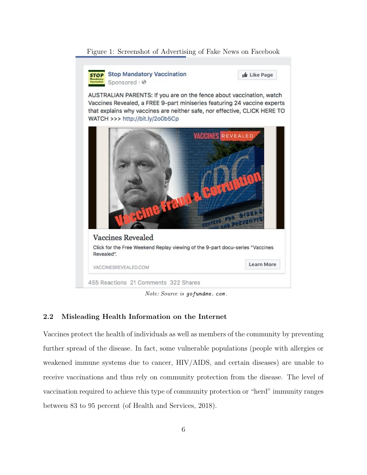Figure 1: Screenshot of Advertising of Fake News on Facebook



Note: Source is gofundme. com .

## 2.2 Misleading Health Information on the Internet

Vaccines protect the health of individuals as well as members of the community by preventing further spread of the disease. In fact, some vulnerable populations (people with allergies or weakened immune systems due to cancer, HIV/AIDS, and certain diseases) are unable to receive vaccinations and thus rely on community protection from the disease. The level of vaccination required to achieve this type of community protection or "herd" immunity ranges between 83 to 95 percent (of Health and Services, 2018).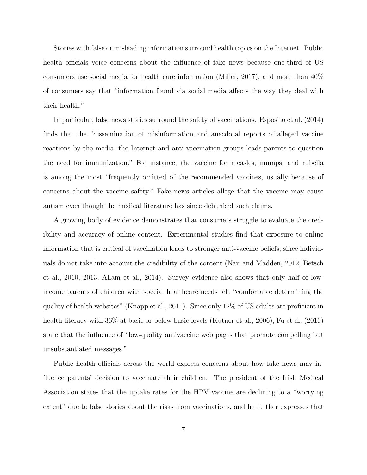Stories with false or misleading information surround health topics on the Internet. Public health officials voice concerns about the influence of fake news because one-third of US consumers use social media for health care information (Miller, 2017), and more than 40% of consumers say that "information found via social media affects the way they deal with their health."

In particular, false news stories surround the safety of vaccinations. Esposito et al. (2014) finds that the "dissemination of misinformation and anecdotal reports of alleged vaccine reactions by the media, the Internet and anti-vaccination groups leads parents to question the need for immunization." For instance, the vaccine for measles, mumps, and rubella is among the most "frequently omitted of the recommended vaccines, usually because of concerns about the vaccine safety." Fake news articles allege that the vaccine may cause autism even though the medical literature has since debunked such claims.

A growing body of evidence demonstrates that consumers struggle to evaluate the credibility and accuracy of online content. Experimental studies find that exposure to online information that is critical of vaccination leads to stronger anti-vaccine beliefs, since individuals do not take into account the credibility of the content (Nan and Madden, 2012; Betsch et al., 2010, 2013; Allam et al., 2014). Survey evidence also shows that only half of lowincome parents of children with special healthcare needs felt "comfortable determining the quality of health websites" (Knapp et al., 2011). Since only 12% of US adults are proficient in health literacy with 36% at basic or below basic levels (Kutner et al., 2006), Fu et al. (2016) state that the influence of "low-quality antivaccine web pages that promote compelling but unsubstantiated messages."

Public health officials across the world express concerns about how fake news may influence parents' decision to vaccinate their children. The president of the Irish Medical Association states that the uptake rates for the HPV vaccine are declining to a "worrying extent" due to false stories about the risks from vaccinations, and he further expresses that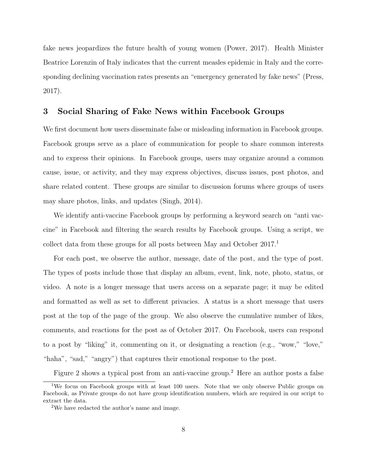fake news jeopardizes the future health of young women (Power, 2017). Health Minister Beatrice Lorenzin of Italy indicates that the current measles epidemic in Italy and the corresponding declining vaccination rates presents an "emergency generated by fake news" (Press, 2017).

## 3 Social Sharing of Fake News within Facebook Groups

We first document how users disseminate false or misleading information in Facebook groups. Facebook groups serve as a place of communication for people to share common interests and to express their opinions. In Facebook groups, users may organize around a common cause, issue, or activity, and they may express objectives, discuss issues, post photos, and share related content. These groups are similar to discussion forums where groups of users may share photos, links, and updates (Singh, 2014).

We identify anti-vaccine Facebook groups by performing a keyword search on "anti vaccine" in Facebook and filtering the search results by Facebook groups. Using a script, we collect data from these groups for all posts between May and October 2017.<sup>1</sup>

For each post, we observe the author, message, date of the post, and the type of post. The types of posts include those that display an album, event, link, note, photo, status, or video. A note is a longer message that users access on a separate page; it may be edited and formatted as well as set to different privacies. A status is a short message that users post at the top of the page of the group. We also observe the cumulative number of likes, comments, and reactions for the post as of October 2017. On Facebook, users can respond to a post by "liking" it, commenting on it, or designating a reaction (e.g., "wow," "love," "haha", "sad," "angry") that captures their emotional response to the post.

Figure 2 shows a typical post from an anti-vaccine group.<sup>2</sup> Here an author posts a false

<sup>&</sup>lt;sup>1</sup>We focus on Facebook groups with at least 100 users. Note that we only observe Public groups on Facebook, as Private groups do not have group identification numbers, which are required in our script to extract the data.

<sup>2</sup>We have redacted the author's name and image.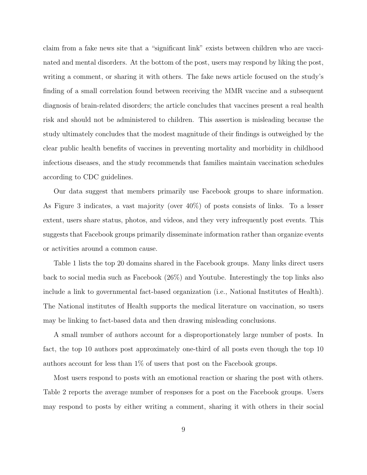claim from a fake news site that a "significant link" exists between children who are vaccinated and mental disorders. At the bottom of the post, users may respond by liking the post, writing a comment, or sharing it with others. The fake news article focused on the study's finding of a small correlation found between receiving the MMR vaccine and a subsequent diagnosis of brain-related disorders; the article concludes that vaccines present a real health risk and should not be administered to children. This assertion is misleading because the study ultimately concludes that the modest magnitude of their findings is outweighed by the clear public health benefits of vaccines in preventing mortality and morbidity in childhood infectious diseases, and the study recommends that families maintain vaccination schedules according to CDC guidelines.

Our data suggest that members primarily use Facebook groups to share information. As Figure 3 indicates, a vast majority (over 40%) of posts consists of links. To a lesser extent, users share status, photos, and videos, and they very infrequently post events. This suggests that Facebook groups primarily disseminate information rather than organize events or activities around a common cause.

Table 1 lists the top 20 domains shared in the Facebook groups. Many links direct users back to social media such as Facebook (26%) and Youtube. Interestingly the top links also include a link to governmental fact-based organization (i.e., National Institutes of Health). The National institutes of Health supports the medical literature on vaccination, so users may be linking to fact-based data and then drawing misleading conclusions.

A small number of authors account for a disproportionately large number of posts. In fact, the top 10 authors post approximately one-third of all posts even though the top 10 authors account for less than 1% of users that post on the Facebook groups.

Most users respond to posts with an emotional reaction or sharing the post with others. Table 2 reports the average number of responses for a post on the Facebook groups. Users may respond to posts by either writing a comment, sharing it with others in their social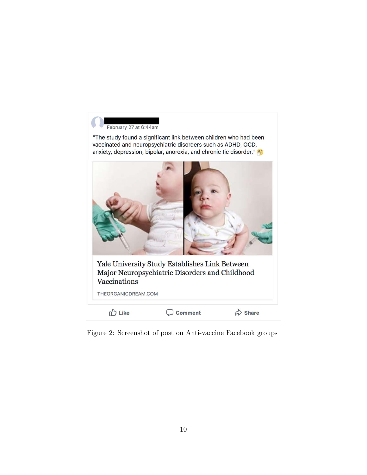

Figure 2: Screenshot of post on Anti-vaccine Facebook groups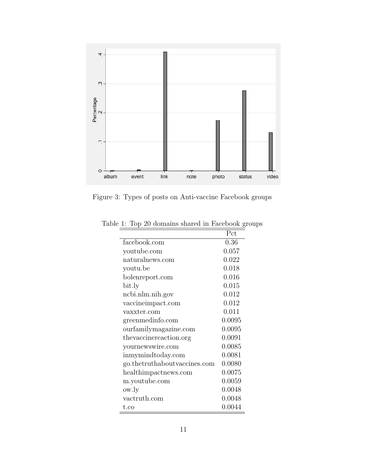

Figure 3: Types of posts on Anti-vaccine Facebook groups

|                              | Pct    |
|------------------------------|--------|
| facebook.com                 | 0.36   |
| youtube.com                  | 0.057  |
| naturalnews.com              | 0.022  |
| youtu.be                     | 0.018  |
| bolenreport.com              | 0.016  |
| bit.ly                       | 0.015  |
| ncbi.nlm.nih.gov             | 0.012  |
| vaccineimpact.com            | 0.012  |
| vaxxter.com                  | 0.011  |
| greenmedinfo.com             | 0.0095 |
| ourfamilymagazine.com        | 0.0095 |
| thevaccinereaction.org       | 0.0091 |
| yournewswire.com             | 0.0085 |
| inmymindtoday.com            | 0.0081 |
| go.thetruthaboutvaccines.com | 0.0080 |
| healthimpactnews.com         | 0.0075 |
| m.youtube.com                | 0.0059 |
| ow.ly                        | 0.0048 |
| vactruth.com                 | 0.0048 |
| t.co                         | 0.0044 |

Table 1: Top 20 domains shared in Facebook groups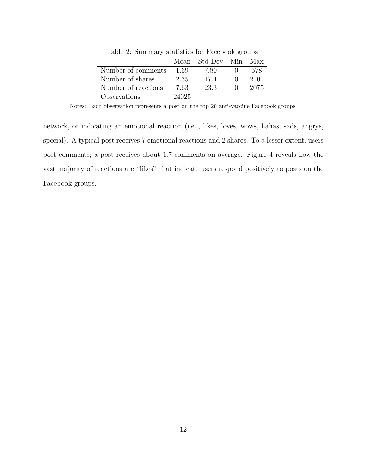| $\frac{1}{2}$ $\frac{1}{2}$ $\frac{1}{2}$ $\frac{1}{2}$ $\frac{1}{2}$ $\frac{1}{2}$ $\frac{1}{2}$ $\frac{1}{2}$ $\frac{1}{2}$ $\frac{1}{2}$ $\frac{1}{2}$ $\frac{1}{2}$ $\frac{1}{2}$ $\frac{1}{2}$ $\frac{1}{2}$ $\frac{1}{2}$ $\frac{1}{2}$ $\frac{1}{2}$ $\frac{1}{2}$ $\frac{1}{2}$ $\frac{1}{2}$ $\frac{1}{2}$ |       |                      |            |      |
|---------------------------------------------------------------------------------------------------------------------------------------------------------------------------------------------------------------------------------------------------------------------------------------------------------------------|-------|----------------------|------------|------|
|                                                                                                                                                                                                                                                                                                                     |       | Mean Std Dev Min Max |            |      |
| Number of comments                                                                                                                                                                                                                                                                                                  | 1.69  | 7.80                 |            | 578  |
| Number of shares                                                                                                                                                                                                                                                                                                    | 2.35  | 17.4                 |            | 2101 |
| Number of reactions                                                                                                                                                                                                                                                                                                 | 7.63  | 23.3                 | $^{\circ}$ | 2075 |
| Observations                                                                                                                                                                                                                                                                                                        | 24025 |                      |            |      |

Table 2: Summary statistics for Facebook groups

Notes: Each observation represents a post on the top 20 anti-vaccine Facebook groups.

network, or indicating an emotional reaction (i.e.., likes, loves, wows, hahas, sads, angrys, special). A typical post receives 7 emotional reactions and 2 shares. To a lesser extent, users post comments; a post receives about 1.7 comments on average. Figure 4 reveals how the vast majority of reactions are "likes" that indicate users respond positively to posts on the Facebook groups.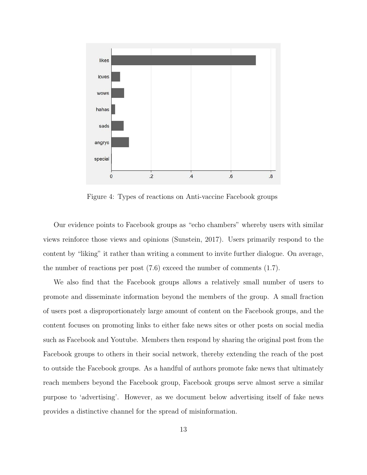

Figure 4: Types of reactions on Anti-vaccine Facebook groups

Our evidence points to Facebook groups as "echo chambers" whereby users with similar views reinforce those views and opinions (Sunstein, 2017). Users primarily respond to the content by "liking" it rather than writing a comment to invite further dialogue. On average, the number of reactions per post (7.6) exceed the number of comments (1.7).

We also find that the Facebook groups allows a relatively small number of users to promote and disseminate information beyond the members of the group. A small fraction of users post a disproportionately large amount of content on the Facebook groups, and the content focuses on promoting links to either fake news sites or other posts on social media such as Facebook and Youtube. Members then respond by sharing the original post from the Facebook groups to others in their social network, thereby extending the reach of the post to outside the Facebook groups. As a handful of authors promote fake news that ultimately reach members beyond the Facebook group, Facebook groups serve almost serve a similar purpose to 'advertising'. However, as we document below advertising itself of fake news provides a distinctive channel for the spread of misinformation.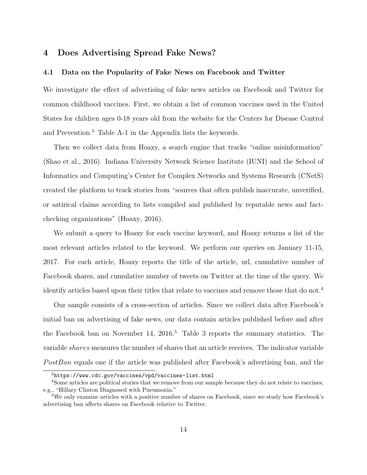## 4 Does Advertising Spread Fake News?

### 4.1 Data on the Popularity of Fake News on Facebook and Twitter

We investigate the effect of advertising of fake news articles on Facebook and Twitter for common childhood vaccines. First, we obtain a list of common vaccines used in the United States for children ages 0-18 years old from the website for the Centers for Disease Control and Prevention.<sup>3</sup> Table A-1 in the Appendix lists the keywords.

Then we collect data from Hoaxy, a search engine that tracks "online misinformation" (Shao et al., 2016). Indiana University Network Science Institute (IUNI) and the School of Informatics and Computing's Center for Complex Networks and Systems Research (CNetS) created the platform to track stories from "sources that often publish inaccurate, unverified, or satirical claims according to lists compiled and published by reputable news and factchecking organizations" (Hoaxy, 2016).

We submit a query to Hoaxy for each vaccine keyword, and Hoaxy returns a list of the most relevant articles related to the keyword. We perform our queries on January 11-15, 2017. For each article, Hoaxy reports the title of the article, url, cumulative number of Facebook shares, and cumulative number of tweets on Twitter at the time of the query. We identify articles based upon their titles that relate to vaccines and remove those that do not.<sup>4</sup>

Our sample consists of a cross-section of articles. Since we collect data after Facebook's initial ban on advertising of fake news, our data contain articles published before and after the Facebook ban on November 14,  $2016<sup>5</sup>$  Table 3 reports the summary statistics. The variable shares measures the number of shares that an article receives. The indicator variable PostBan equals one if the article was published after Facebook's advertising ban, and the

<sup>3</sup>https://www.cdc.gov/vaccines/vpd/vaccines-list.html

<sup>&</sup>lt;sup>4</sup>Some articles are political stories that we remove from our sample because they do not relate to vaccines, e.g., "Hillary Clinton Diagnosed with Pneumonia."

<sup>&</sup>lt;sup>5</sup>We only examine articles with a positive number of shares on Facebook, since we study how Facebook's advertising ban affects shares on Facebook relative to Twitter.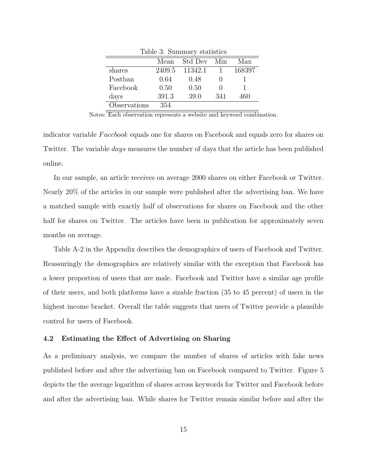| Table 3: Summary statistics |        |         |     |        |
|-----------------------------|--------|---------|-----|--------|
|                             | Mean   | Std Dev | Min | Max    |
| shares                      | 2409.5 | 11342.1 |     | 168397 |
| Postban                     | 0.64   | 0.48    |     |        |
| Facebook                    | 0.50   | 0.50    |     |        |
| days                        | 391.3  | 39.0    | 341 | 460    |
| Observations                | 354    |         |     |        |

Table 3: Summary statistics

Notes: Each observation represents a website and keyword combination.

indicator variable Facebook equals one for shares on Facebook and equals zero for shares on Twitter. The variable *days* measures the number of days that the article has been published online.

In our sample, an article receives on average 2000 shares on either Facebook or Twitter. Nearly 20% of the articles in our sample were published after the advertising ban. We have a matched sample with exactly half of observations for shares on Facebook and the other half for shares on Twitter. The articles have been in publication for approximately seven months on average.

Table A-2 in the Appendix describes the demographics of users of Facebook and Twitter. Reassuringly the demographics are relatively similar with the exception that Facebook has a lower proportion of users that are male. Facebook and Twitter have a similar age profile of their users, and both platforms have a sizable fraction (35 to 45 percent) of users in the highest income bracket. Overall the table suggests that users of Twitter provide a plausible control for users of Facebook.

#### 4.2 Estimating the Effect of Advertising on Sharing

As a preliminary analysis, we compare the number of shares of articles with fake news published before and after the advertising ban on Facebook compared to Twitter. Figure 5 depicts the the average logarithm of shares across keywords for Twitter and Facebook before and after the advertising ban. While shares for Twitter remain similar before and after the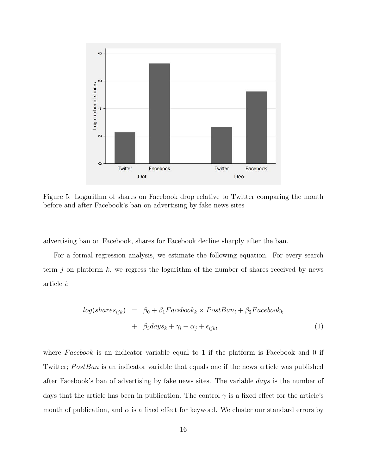

Figure 5: Logarithm of shares on Facebook drop relative to Twitter comparing the month before and after Facebook's ban on advertising by fake news sites

advertising ban on Facebook, shares for Facebook decline sharply after the ban.

For a formal regression analysis, we estimate the following equation. For every search term  $j$  on platform  $k$ , we regress the logarithm of the number of shares received by news article i:

$$
log(shares_{ijk}) = \beta_0 + \beta_1 Facebook_k \times PostBan_i + \beta_2 Facebook_k + \beta_3 days_k + \gamma_i + \alpha_j + \epsilon_{ijkt}
$$
\n(1)

where  $Facebook$  is an indicator variable equal to 1 if the platform is Facebook and 0 if Twitter;  $PostBan$  is an indicator variable that equals one if the news article was published after Facebook's ban of advertising by fake news sites. The variable days is the number of days that the article has been in publication. The control  $\gamma$  is a fixed effect for the article's month of publication, and  $\alpha$  is a fixed effect for keyword. We cluster our standard errors by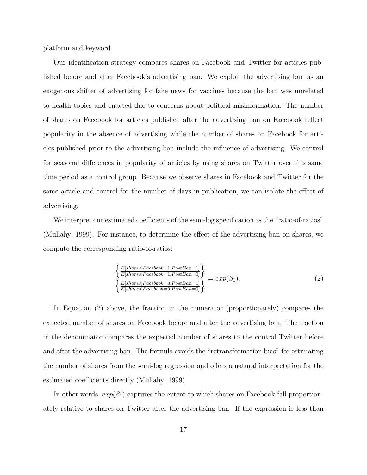platform and keyword.

Our identification strategy compares shares on Facebook and Twitter for articles published before and after Facebook's advertising ban. We exploit the advertising ban as an exogenous shifter of advertising for fake news for vaccines because the ban was unrelated to health topics and enacted due to concerns about political misinformation. The number of shares on Facebook for articles published after the advertising ban on Facebook reflect popularity in the absence of advertising while the number of shares on Facebook for articles published prior to the advertising ban include the influence of advertising. We control for seasonal differences in popularity of articles by using shares on Twitter over this same time period as a control group. Because we observe shares in Facebook and Twitter for the same article and control for the number of days in publication, we can isolate the effect of advertising.

We interpret our estimated coefficients of the semi-log specification as the "ratio-of-ratios" (Mullahy, 1999). For instance, to determine the effect of the advertising ban on shares, we compute the corresponding ratio-of-ratios:

$$
\frac{\left\{\frac{E[shares|Facebook=1,PostBan=1]}{E[shares|Facebook=1,PostBan=0]}\right\}}{\left\{\frac{E[shares|Facebook=0,PostBan=1]}{E[shares|Facebook=0,PostBan=1]}\right\}} = exp(\beta_1).
$$
\n(2)

In Equation (2) above, the fraction in the numerator (proportionately) compares the expected number of shares on Facebook before and after the advertising ban. The fraction in the denominator compares the expected number of shares to the control Twitter before and after the advertising ban. The formula avoids the "retransformation bias" for estimating the number of shares from the semi-log regression and offers a natural interpretation for the estimated coefficients directly (Mullahy, 1999).

In other words,  $exp(\beta_1)$  captures the extent to which shares on Facebook fall proportionately relative to shares on Twitter after the advertising ban. If the expression is less than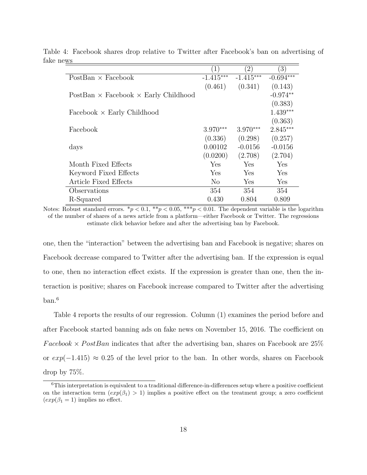|                                                  | $\left(1\right)$ | $\left(2\right)$ | $\left(3\right)$ |
|--------------------------------------------------|------------------|------------------|------------------|
| $PostBan \times Facebook$                        | $-1.415***$      | $-1.415***$      | $-0.694***$      |
|                                                  | (0.461)          | (0.341)          | (0.143)          |
| $PostBan \times Facebook \times Early Childhood$ |                  |                  | $-0.974**$       |
|                                                  |                  |                  | (0.383)          |
| $Facebook \times Early Childhood$                |                  |                  | $1.439***$       |
|                                                  |                  |                  | (0.363)          |
| Facebook                                         | $3.970***$       | $3.970***$       | $2.845***$       |
|                                                  | (0.336)          | (0.298)          | (0.257)          |
| days                                             | 0.00102          | $-0.0156$        | $-0.0156$        |
|                                                  | (0.0200)         | (2.708)          | (2.704)          |
| Month Fixed Effects                              | Yes              | Yes              | Yes              |
| Keyword Fixed Effects                            | Yes              | Yes              | Yes              |
| Article Fixed Effects                            | N <sub>o</sub>   | Yes              | Yes              |
| Observations                                     | 354              | 354              | 354              |
| R-Squared                                        | 0.430            | 0.804            | 0.809            |

Table 4: Facebook shares drop relative to Twitter after Facebook's ban on advertising of fake news

Notes: Robust standard errors.  $\frac{*p}{<}0.1$ ,  $\frac{*p}{<}0.05$ ,  $\frac{**p}{<}0.01$ . The dependent variable is the logarithm of the number of shares of a news article from a platform—either Facebook or Twitter. The regressions estimate click behavior before and after the advertising ban by Facebook.

one, then the "interaction" between the advertising ban and Facebook is negative; shares on Facebook decrease compared to Twitter after the advertising ban. If the expression is equal to one, then no interaction effect exists. If the expression is greater than one, then the interaction is positive; shares on Facebook increase compared to Twitter after the advertising ban.<sup>6</sup>

Table 4 reports the results of our regression. Column (1) examines the period before and after Facebook started banning ads on fake news on November 15, 2016. The coefficient on Facebook  $\times$  PostBan indicates that after the advertising ban, shares on Facebook are 25% or  $exp(-1.415) \approx 0.25$  of the level prior to the ban. In other words, shares on Facebook drop by 75%.

 $6$ This interpretation is equivalent to a traditional difference-in-differences setup where a positive coefficient on the interaction term  $(exp(\beta_1) > 1)$  implies a positive effect on the treatment group; a zero coefficient  $(exp(\beta_1 = 1)$  implies no effect.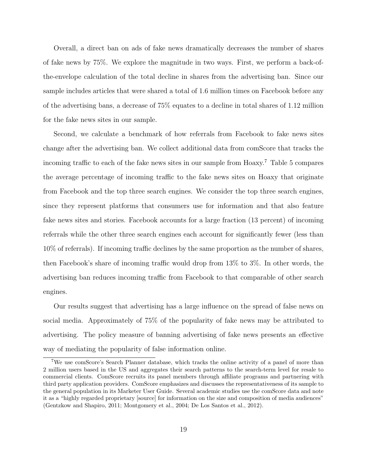Overall, a direct ban on ads of fake news dramatically decreases the number of shares of fake news by 75%. We explore the magnitude in two ways. First, we perform a back-ofthe-envelope calculation of the total decline in shares from the advertising ban. Since our sample includes articles that were shared a total of 1.6 million times on Facebook before any of the advertising bans, a decrease of 75% equates to a decline in total shares of 1.12 million for the fake news sites in our sample.

Second, we calculate a benchmark of how referrals from Facebook to fake news sites change after the advertising ban. We collect additional data from comScore that tracks the incoming traffic to each of the fake news sites in our sample from Hoaxy.<sup>7</sup> Table 5 compares the average percentage of incoming traffic to the fake news sites on Hoaxy that originate from Facebook and the top three search engines. We consider the top three search engines, since they represent platforms that consumers use for information and that also feature fake news sites and stories. Facebook accounts for a large fraction (13 percent) of incoming referrals while the other three search engines each account for significantly fewer (less than 10% of referrals). If incoming traffic declines by the same proportion as the number of shares, then Facebook's share of incoming traffic would drop from 13% to 3%. In other words, the advertising ban reduces incoming traffic from Facebook to that comparable of other search engines.

Our results suggest that advertising has a large influence on the spread of false news on social media. Approximately of 75% of the popularity of fake news may be attributed to advertising. The policy measure of banning advertising of fake news presents an effective way of mediating the popularity of false information online.

<sup>7</sup>We use comScore's Search Planner database, which tracks the online activity of a panel of more than 2 million users based in the US and aggregates their search patterns to the search-term level for resale to commercial clients. ComScore recruits its panel members through affiliate programs and partnering with third party application providers. ComScore emphasizes and discusses the representativeness of its sample to the general population in its Marketer User Guide. Several academic studies use the comScore data and note it as a "highly regarded proprietary [source] for information on the size and composition of media audiences" (Gentzkow and Shapiro, 2011; Montgomery et al., 2004; De Los Santos et al., 2012).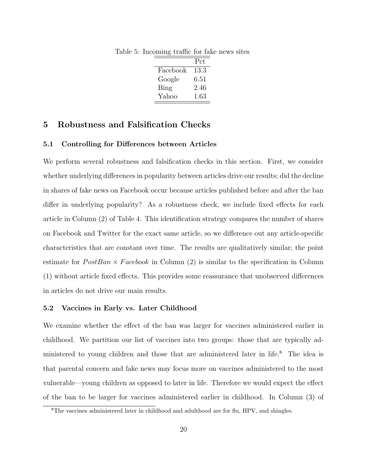|          | Pct  |
|----------|------|
| Facebook | 13.3 |
| Google   | 6.51 |
| Bing     | 2.46 |
| Yahoo    | 1.63 |

Table 5: Incoming traffic for fake news sites

## 5 Robustness and Falsification Checks

### 5.1 Controlling for Differences between Articles

We perform several robustness and falsification checks in this section. First, we consider whether underlying differences in popularity between articles drive our results; did the decline in shares of fake news on Facebook occur because articles published before and after the ban differ in underlying popularity? As a robustness check, we include fixed effects for each article in Column (2) of Table 4. This identification strategy compares the number of shares on Facebook and Twitter for the exact same article, so we difference out any article-specific characteristics that are constant over time. The results are qualitatively similar; the point estimate for  $PostBan \times Facebook$  in Column (2) is similar to the specification in Column (1) without article fixed effects. This provides some reassurance that unobserved differences in articles do not drive our main results.

### 5.2 Vaccines in Early vs. Later Childhood

We examine whether the effect of the ban was larger for vaccines administered earlier in childhood. We partition our list of vaccines into two groups: those that are typically administered to young children and those that are administered later in life.<sup>8</sup> The idea is that parental concern and fake news may focus more on vaccines administered to the most vulnerable—young children as opposed to later in life. Therefore we would expect the effect of the ban to be larger for vaccines administered earlier in childhood. In Column (3) of

<sup>8</sup>The vaccines administered later in childhood and adulthood are for flu, HPV, and shingles.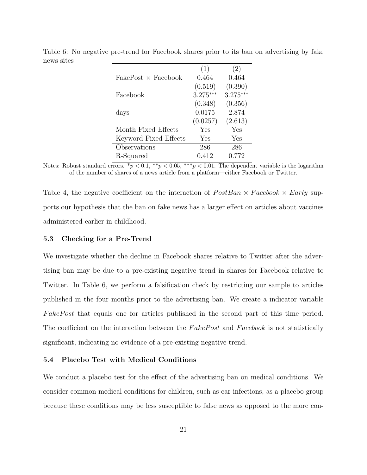| (1)<br>(2)<br>0.464<br>0.464<br>$FakePost \times Facebook$<br>(0.519)<br>(0.390)<br>$3.275***$<br>$3.275***$<br>Facebook<br>(0.348)<br>(0.356)<br>0.0175<br>2.874<br>days<br>(0.0257)<br>(2.613)<br>Yes<br>Month Fixed Effects<br>Yes<br>Keyword Fixed Effects<br>Yes<br>Yes<br>Observations<br>286<br>286 |           |       |       |
|------------------------------------------------------------------------------------------------------------------------------------------------------------------------------------------------------------------------------------------------------------------------------------------------------------|-----------|-------|-------|
|                                                                                                                                                                                                                                                                                                            |           |       |       |
|                                                                                                                                                                                                                                                                                                            |           |       |       |
|                                                                                                                                                                                                                                                                                                            |           |       |       |
|                                                                                                                                                                                                                                                                                                            |           |       |       |
|                                                                                                                                                                                                                                                                                                            |           |       |       |
|                                                                                                                                                                                                                                                                                                            |           |       |       |
|                                                                                                                                                                                                                                                                                                            |           |       |       |
|                                                                                                                                                                                                                                                                                                            |           |       |       |
|                                                                                                                                                                                                                                                                                                            |           |       |       |
|                                                                                                                                                                                                                                                                                                            |           |       |       |
|                                                                                                                                                                                                                                                                                                            | R-Squared | 0.412 | 0.772 |

Table 6: No negative pre-trend for Facebook shares prior to its ban on advertising by fake news sites  $\equiv$  $\equiv$ 

Notes: Robust standard errors.  $\sqrt[p]{p} < 0.1, \sqrt[4]{p} < 0.05, \sqrt[4]{p} < 0.01$ . The dependent variable is the logarithm of the number of shares of a news article from a platform—either Facebook or Twitter.

Table 4, the negative coefficient on the interaction of  $PostBan \times Facebook \times Early$  supports our hypothesis that the ban on fake news has a larger effect on articles about vaccines administered earlier in childhood.

#### 5.3 Checking for a Pre-Trend

 $\overline{\phantom{0}}$ 

We investigate whether the decline in Facebook shares relative to Twitter after the advertising ban may be due to a pre-existing negative trend in shares for Facebook relative to Twitter. In Table 6, we perform a falsification check by restricting our sample to articles published in the four months prior to the advertising ban. We create a indicator variable FakePost that equals one for articles published in the second part of this time period. The coefficient on the interaction between the  $FakePost$  and  $Facebook$  is not statistically significant, indicating no evidence of a pre-existing negative trend.

### 5.4 Placebo Test with Medical Conditions

We conduct a placebo test for the effect of the advertising ban on medical conditions. We consider common medical conditions for children, such as ear infections, as a placebo group because these conditions may be less susceptible to false news as opposed to the more con-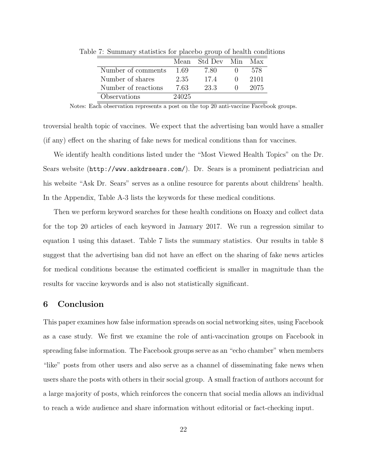|                     |       | Mean Std Dev Min Max |      |
|---------------------|-------|----------------------|------|
| Number of comments  | 1.69  | 7.80                 | 578  |
| Number of shares    | 2.35  | 17.4                 | 2101 |
| Number of reactions | 7.63  | 23.3                 | 2075 |
| Observations        | 24025 |                      |      |

Table 7: Summary statistics for placebo group of health conditions

Notes: Each observation represents a post on the top 20 anti-vaccine Facebook groups.

troversial health topic of vaccines. We expect that the advertising ban would have a smaller (if any) effect on the sharing of fake news for medical conditions than for vaccines.

We identify health conditions listed under the "Most Viewed Health Topics" on the Dr. Sears website (http://www.askdrsears.com/). Dr. Sears is a prominent pediatrician and his website "Ask Dr. Sears" serves as a online resource for parents about childrens' health. In the Appendix, Table A-3 lists the keywords for these medical conditions.

Then we perform keyword searches for these health conditions on Hoaxy and collect data for the top 20 articles of each keyword in January 2017. We run a regression similar to equation 1 using this dataset. Table 7 lists the summary statistics. Our results in table 8 suggest that the advertising ban did not have an effect on the sharing of fake news articles for medical conditions because the estimated coefficient is smaller in magnitude than the results for vaccine keywords and is also not statistically significant.

## 6 Conclusion

This paper examines how false information spreads on social networking sites, using Facebook as a case study. We first we examine the role of anti-vaccination groups on Facebook in spreading false information. The Facebook groups serve as an "echo chamber" when members "like" posts from other users and also serve as a channel of disseminating fake news when users share the posts with others in their social group. A small fraction of authors account for a large majority of posts, which reinforces the concern that social media allows an individual to reach a wide audience and share information without editorial or fact-checking input.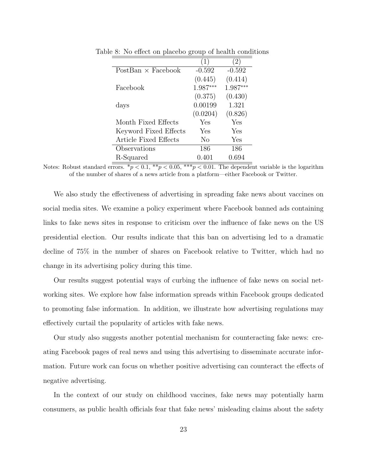|                           | $\perp$  | 2)       |
|---------------------------|----------|----------|
| $PostBan \times Facebook$ | $-0.592$ | $-0.592$ |
|                           | (0.445)  | (0.414)  |
| Facebook                  | 1.987*** | 1.987*** |
|                           | (0.375)  | (0.430)  |
| days                      | 0.00199  | 1.321    |
|                           | (0.0204) | (0.826)  |
| Month Fixed Effects       | Yes      | Yes      |
| Keyword Fixed Effects     | Yes      | Yes      |
| Article Fixed Effects     | No       | Yes      |
| Observations              | 186      | 186      |
| R-Squared                 | 0.401    | 0.694    |

Table 8: No effect on placebo group of health conditions

Notes: Robust standard errors.  $\frac{*p}{<}0.1$ ,  $\frac{*p}{<}0.05$ ,  $\frac{*p}{<}0.01$ . The dependent variable is the logarithm of the number of shares of a news article from a platform—either Facebook or Twitter.

We also study the effectiveness of advertising in spreading fake news about vaccines on social media sites. We examine a policy experiment where Facebook banned ads containing links to fake news sites in response to criticism over the influence of fake news on the US presidential election. Our results indicate that this ban on advertising led to a dramatic decline of 75% in the number of shares on Facebook relative to Twitter, which had no change in its advertising policy during this time.

Our results suggest potential ways of curbing the influence of fake news on social networking sites. We explore how false information spreads within Facebook groups dedicated to promoting false information. In addition, we illustrate how advertising regulations may effectively curtail the popularity of articles with fake news.

Our study also suggests another potential mechanism for counteracting fake news: creating Facebook pages of real news and using this advertising to disseminate accurate information. Future work can focus on whether positive advertising can counteract the effects of negative advertising.

In the context of our study on childhood vaccines, fake news may potentially harm consumers, as public health officials fear that fake news' misleading claims about the safety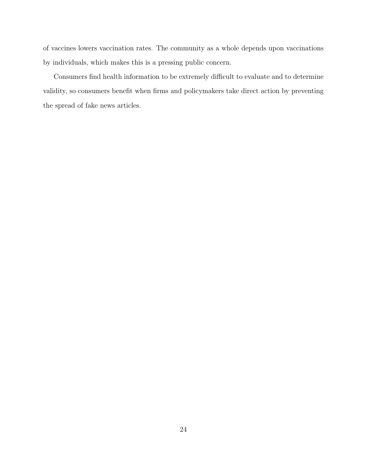of vaccines lowers vaccination rates. The community as a whole depends upon vaccinations by individuals, which makes this is a pressing public concern.

Consumers find health information to be extremely difficult to evaluate and to determine validity, so consumers benefit when firms and policymakers take direct action by preventing the spread of fake news articles.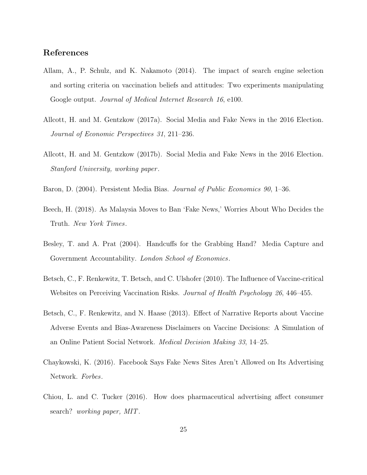## References

- Allam, A., P. Schulz, and K. Nakamoto (2014). The impact of search engine selection and sorting criteria on vaccination beliefs and attitudes: Two experiments manipulating Google output. Journal of Medical Internet Research 16, e100.
- Allcott, H. and M. Gentzkow (2017a). Social Media and Fake News in the 2016 Election. Journal of Economic Perspectives 31, 211–236.
- Allcott, H. and M. Gentzkow (2017b). Social Media and Fake News in the 2016 Election. Stanford University, working paper .
- Baron, D. (2004). Persistent Media Bias. Journal of Public Economics 90, 1–36.
- Beech, H. (2018). As Malaysia Moves to Ban 'Fake News,' Worries About Who Decides the Truth. New York Times.
- Besley, T. and A. Prat (2004). Handcuffs for the Grabbing Hand? Media Capture and Government Accountability. *London School of Economics*.
- Betsch, C., F. Renkewitz, T. Betsch, and C. Ulshofer (2010). The Influence of Vaccine-critical Websites on Perceiving Vaccination Risks. Journal of Health Psychology 26, 446–455.
- Betsch, C., F. Renkewitz, and N. Haase (2013). Effect of Narrative Reports about Vaccine Adverse Events and Bias-Awareness Disclaimers on Vaccine Decisions: A Simulation of an Online Patient Social Network. Medical Decision Making 33, 14–25.
- Chaykowski, K. (2016). Facebook Says Fake News Sites Aren't Allowed on Its Advertising Network. Forbes.
- Chiou, L. and C. Tucker (2016). How does pharmaceutical advertising affect consumer search? working paper, MIT.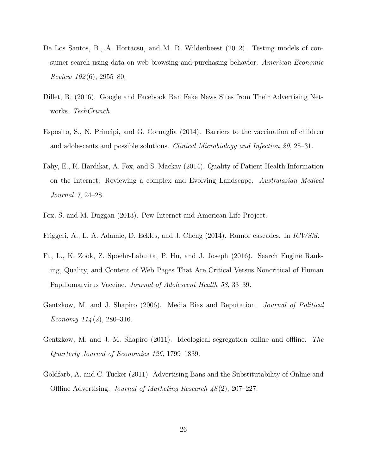- De Los Santos, B., A. Hortacsu, and M. R. Wildenbeest (2012). Testing models of consumer search using data on web browsing and purchasing behavior. American Economic Review  $102(6)$ , 2955–80.
- Dillet, R. (2016). Google and Facebook Ban Fake News Sites from Their Advertising Networks. TechCrunch.
- Esposito, S., N. Principi, and G. Cornaglia (2014). Barriers to the vaccination of children and adolescents and possible solutions. Clinical Microbiology and Infection 20, 25–31.
- Fahy, E., R. Hardikar, A. Fox, and S. Mackay (2014). Quality of Patient Health Information on the Internet: Reviewing a complex and Evolving Landscape. Australasian Medical Journal 7, 24–28.
- Fox, S. and M. Duggan (2013). Pew Internet and American Life Project.
- Friggeri, A., L. A. Adamic, D. Eckles, and J. Cheng (2014). Rumor cascades. In ICWSM.
- Fu, L., K. Zook, Z. Spoehr-Labutta, P. Hu, and J. Joseph (2016). Search Engine Ranking, Quality, and Content of Web Pages That Are Critical Versus Noncritical of Human Papillomarvirus Vaccine. Journal of Adolescent Health 58, 33–39.
- Gentzkow, M. and J. Shapiro (2006). Media Bias and Reputation. Journal of Political Economy  $114(2)$ , 280–316.
- Gentzkow, M. and J. M. Shapiro (2011). Ideological segregation online and offline. The Quarterly Journal of Economics 126, 1799–1839.
- Goldfarb, A. and C. Tucker (2011). Advertising Bans and the Substitutability of Online and Offline Advertising. Journal of Marketing Research 48 (2), 207–227.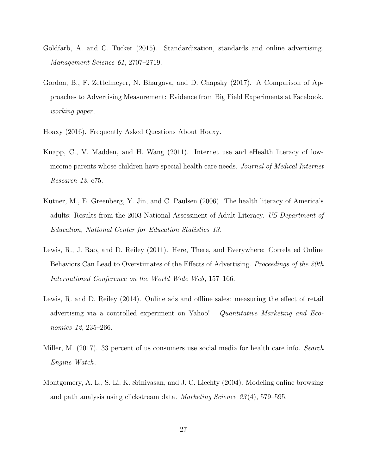- Goldfarb, A. and C. Tucker (2015). Standardization, standards and online advertising. Management Science 61, 2707–2719.
- Gordon, B., F. Zettelmeyer, N. Bhargava, and D. Chapsky (2017). A Comparison of Approaches to Advertising Measurement: Evidence from Big Field Experiments at Facebook. working paper .
- Hoaxy (2016). Frequently Asked Questions About Hoaxy.
- Knapp, C., V. Madden, and H. Wang (2011). Internet use and eHealth literacy of lowincome parents whose children have special health care needs. Journal of Medical Internet Research 13, e75.
- Kutner, M., E. Greenberg, Y. Jin, and C. Paulsen (2006). The health literacy of America's adults: Results from the 2003 National Assessment of Adult Literacy. US Department of Education, National Center for Education Statistics 13.
- Lewis, R., J. Rao, and D. Reiley (2011). Here, There, and Everywhere: Correlated Online Behaviors Can Lead to Overstimates of the Effects of Advertising. Proceedings of the 20th International Conference on the World Wide Web, 157–166.
- Lewis, R. and D. Reiley (2014). Online ads and offline sales: measuring the effect of retail advertising via a controlled experiment on Yahoo! Quantitative Marketing and Economics 12, 235–266.
- Miller, M. (2017). 33 percent of us consumers use social media for health care info. Search Engine Watch.
- Montgomery, A. L., S. Li, K. Srinivasan, and J. C. Liechty (2004). Modeling online browsing and path analysis using clickstream data. Marketing Science 23 (4), 579–595.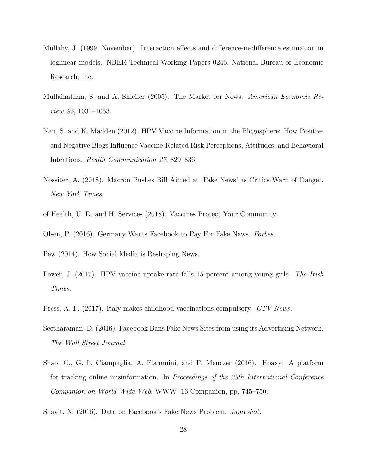- Mullahy, J. (1999, November). Interaction effects and difference-in-difference estimation in loglinear models. NBER Technical Working Papers 0245, National Bureau of Economic Research, Inc.
- Mullainathan, S. and A. Shleifer (2005). The Market for News. American Economic Review 95, 1031–1053.
- Nan, S. and K. Madden (2012). HPV Vaccine Information in the Blogosphere: How Positive and Negative Blogs Influence Vaccine-Related Risk Perceptions, Attitudes, and Behavioral Intentions. Health Communication 27, 829–836.
- Nossiter, A. (2018). Macron Pushes Bill Aimed at 'Fake News' as Critics Warn of Danger. New York Times.
- of Health, U. D. and H. Services (2018). Vaccines Protect Your Community.
- Olsen, P. (2016). Germany Wants Facebook to Pay For Fake News. Forbes.
- Pew (2014). How Social Media is Reshaping News.
- Power, J. (2017). HPV vaccine uptake rate falls 15 percent among young girls. The Irish Times.
- Press, A. F. (2017). Italy makes childhood vaccinations compulsory. CTV News.
- Seetharaman, D. (2016). Facebook Bans Fake News Sites from using its Advertising Network. The Wall Street Journal.
- Shao, C., G. L. Ciampaglia, A. Flammini, and F. Menczer (2016). Hoaxy: A platform for tracking online misinformation. In Proceedings of the 25th International Conference Companion on World Wide Web, WWW '16 Companion, pp. 745–750.
- Shavit, N. (2016). Data on Facebook's Fake News Problem. Jumpshot.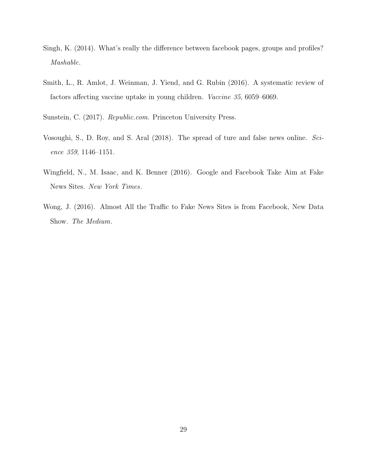- Singh, K. (2014). What's really the difference between facebook pages, groups and profiles? Mashable.
- Smith, L., R. Amlot, J. Weinman, J. Yiend, and G. Rubin (2016). A systematic review of factors affecting vaccine uptake in young children. Vaccine 35, 6059–6069.
- Sunstein, C. (2017). *Republic.com*. Princeton University Press.
- Vosoughi, S., D. Roy, and S. Aral (2018). The spread of ture and false news online. Science 359, 1146–1151.
- Wingfield, N., M. Isaac, and K. Benner (2016). Google and Facebook Take Aim at Fake News Sites. New York Times.
- Wong, J. (2016). Almost All the Traffic to Fake News Sites is from Facebook, New Data Show. The Medium.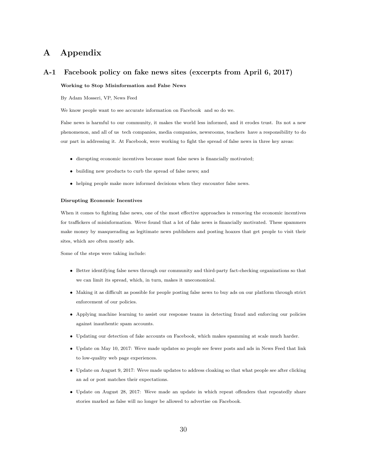# A Appendix

### A-1 Facebook policy on fake news sites (excerpts from April 6, 2017)

#### Working to Stop Misinformation and False News

By Adam Mosseri, VP, News Feed

We know people want to see accurate information on Facebook and so do we.

False news is harmful to our community, it makes the world less informed, and it erodes trust. Its not a new phenomenon, and all of us tech companies, media companies, newsrooms, teachers have a responsibility to do our part in addressing it. At Facebook, were working to fight the spread of false news in three key areas:

- disrupting economic incentives because most false news is financially motivated;
- building new products to curb the spread of false news; and
- helping people make more informed decisions when they encounter false news.

#### Disrupting Economic Incentives

When it comes to fighting false news, one of the most effective approaches is removing the economic incentives for traffickers of misinformation. Weve found that a lot of fake news is financially motivated. These spammers make money by masquerading as legitimate news publishers and posting hoaxes that get people to visit their sites, which are often mostly ads.

Some of the steps were taking include:

- Better identifying false news through our community and third-party fact-checking organizations so that we can limit its spread, which, in turn, makes it uneconomical.
- Making it as difficult as possible for people posting false news to buy ads on our platform through strict enforcement of our policies.
- Applying machine learning to assist our response teams in detecting fraud and enforcing our policies against inauthentic spam accounts.
- Updating our detection of fake accounts on Facebook, which makes spamming at scale much harder.
- Update on May 10, 2017: Weve made updates so people see fewer posts and ads in News Feed that link to low-quality web page experiences.
- Update on August 9, 2017: Weve made updates to address cloaking so that what people see after clicking an ad or post matches their expectations.
- Update on August 28, 2017: Weve made an update in which repeat offenders that repeatedly share stories marked as false will no longer be allowed to advertise on Facebook.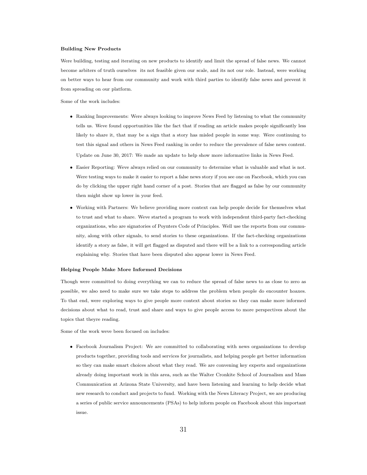#### Building New Products

Were building, testing and iterating on new products to identify and limit the spread of false news. We cannot become arbiters of truth ourselves its not feasible given our scale, and its not our role. Instead, were working on better ways to hear from our community and work with third parties to identify false news and prevent it from spreading on our platform.

Some of the work includes:

- Ranking Improvements: Were always looking to improve News Feed by listening to what the community tells us. Weve found opportunities like the fact that if reading an article makes people significantly less likely to share it, that may be a sign that a story has misled people in some way. Were continuing to test this signal and others in News Feed ranking in order to reduce the prevalence of false news content. Update on June 30, 2017: We made an update to help show more informative links in News Feed.
- Easier Reporting: Weve always relied on our community to determine what is valuable and what is not. Were testing ways to make it easier to report a false news story if you see one on Facebook, which you can do by clicking the upper right hand corner of a post. Stories that are flagged as false by our community then might show up lower in your feed.
- Working with Partners: We believe providing more context can help people decide for themselves what to trust and what to share. Weve started a program to work with independent third-party fact-checking organizations, who are signatories of Poynters Code of Principles. Well use the reports from our community, along with other signals, to send stories to these organizations. If the fact-checking organizations identify a story as false, it will get flagged as disputed and there will be a link to a corresponding article explaining why. Stories that have been disputed also appear lower in News Feed.

#### Helping People Make More Informed Decisions

Though were committed to doing everything we can to reduce the spread of false news to as close to zero as possible, we also need to make sure we take steps to address the problem when people do encounter hoaxes. To that end, were exploring ways to give people more context about stories so they can make more informed decisions about what to read, trust and share and ways to give people access to more perspectives about the topics that theyre reading.

Some of the work weve been focused on includes:

• Facebook Journalism Project: We are committed to collaborating with news organizations to develop products together, providing tools and services for journalists, and helping people get better information so they can make smart choices about what they read. We are convening key experts and organizations already doing important work in this area, such as the Walter Cronkite School of Journalism and Mass Communication at Arizona State University, and have been listening and learning to help decide what new research to conduct and projects to fund. Working with the News Literacy Project, we are producing a series of public service announcements (PSAs) to help inform people on Facebook about this important issue.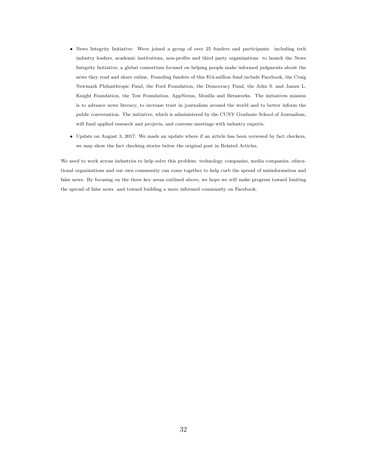- News Integrity Initiative: Weve joined a group of over 25 funders and participants including tech industry leaders, academic institutions, non-profits and third party organizations to launch the News Integrity Initiative, a global consortium focused on helping people make informed judgments about the news they read and share online. Founding funders of this \$14-million fund include Facebook, the Craig Newmark Philanthropic Fund, the Ford Foundation, the Democracy Fund, the John S. and James L. Knight Foundation, the Tow Foundation, AppNexus, Mozilla and Betaworks. The initiatives mission is to advance news literacy, to increase trust in journalism around the world and to better inform the public conversation. The initiative, which is administered by the CUNY Graduate School of Journalism, will fund applied research and projects, and convene meetings with industry experts.
- Update on August 3, 2017: We made an update where if an article has been reviewed by fact checkers, we may show the fact checking stories below the original post in Related Articles.

We need to work across industries to help solve this problem: technology companies, media companies, educational organizations and our own community can come together to help curb the spread of misinformation and false news. By focusing on the three key areas outlined above, we hope we will make progress toward limiting the spread of false news and toward building a more informed community on Facebook.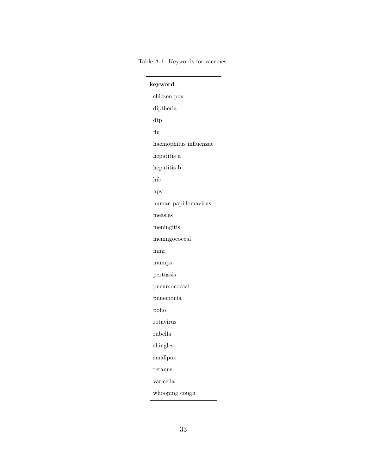Table A-1: Keywords for vaccines

 $\qquad \qquad =$ 

| keyword                |
|------------------------|
| chicken pox            |
| diptheria              |
| $\mathrm{dtp}$         |
| flu                    |
| haemophilus influenzae |
| hepatitis a            |
| hepatitis b            |
| hib                    |
| hpv                    |
| human papillomavirus   |
| measles                |
| meningitis             |
| meningococcal          |
| mmr                    |
| mumps                  |
| pertussis              |
| pneumococcal           |
| pnuemonia              |
| polio                  |
| rotavirus              |
| rubella                |
| shingles               |
| smallpox               |
| tetanus                |
| varicella              |
| whooping cough         |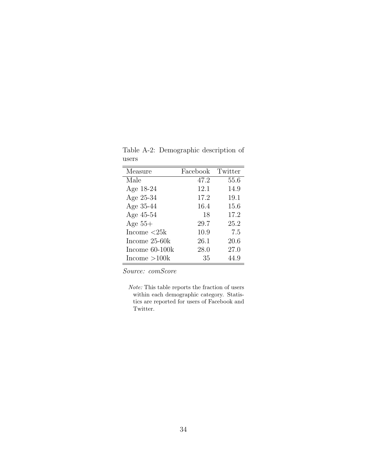| Measure                      | Facebook | Twitter |
|------------------------------|----------|---------|
| Male                         | 47.2     | 55.6    |
| Age 18-24                    | 12.1     | 14.9    |
| Age 25-34                    | 17.2     | 19.1    |
| Age 35-44                    | 16.4     | 15.6    |
| Age 45-54                    | 18       | 17.2    |
| Age $55+$                    | 29.7     | 25.2    |
| Income $\langle 25k \rangle$ | 10.9     | 7.5     |
| Income 25-60k                | 26.1     | 20.6    |
| Income $60-100k$             | 28.0     | 27.0    |
| Income $>100k$               | 35       | 44.9    |

Table A-2: Demographic description of users

Source: comScore

Note: This table reports the fraction of users within each demographic category. Statistics are reported for users of Facebook and Twitter.